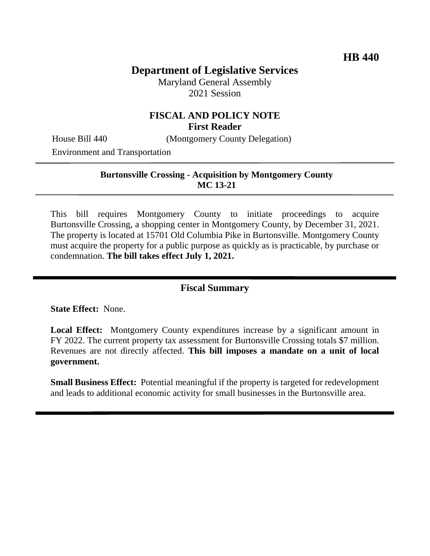# **Department of Legislative Services**

Maryland General Assembly 2021 Session

## **FISCAL AND POLICY NOTE First Reader**

House Bill 440 (Montgomery County Delegation)

Environment and Transportation

## **Burtonsville Crossing - Acquisition by Montgomery County MC 13-21**

This bill requires Montgomery County to initiate proceedings to acquire Burtonsville Crossing, a shopping center in Montgomery County, by December 31, 2021. The property is located at 15701 Old Columbia Pike in Burtonsville. Montgomery County must acquire the property for a public purpose as quickly as is practicable, by purchase or condemnation. **The bill takes effect July 1, 2021.**

# **Fiscal Summary**

**State Effect:** None.

Local Effect: Montgomery County expenditures increase by a significant amount in FY 2022. The current property tax assessment for Burtonsville Crossing totals \$7 million. Revenues are not directly affected. **This bill imposes a mandate on a unit of local government.**

**Small Business Effect:** Potential meaningful if the property is targeted for redevelopment and leads to additional economic activity for small businesses in the Burtonsville area.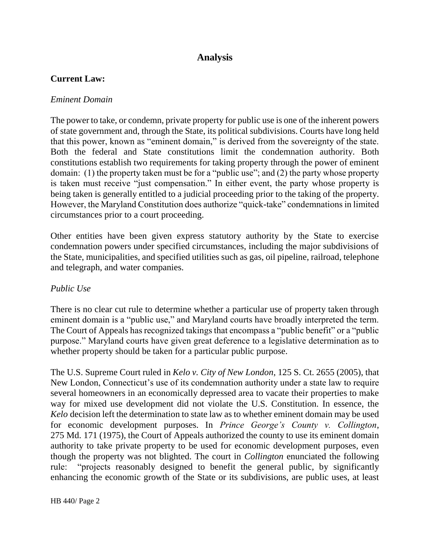# **Analysis**

## **Current Law:**

#### *Eminent Domain*

The power to take, or condemn, private property for public use is one of the inherent powers of state government and, through the State, its political subdivisions. Courts have long held that this power, known as "eminent domain," is derived from the sovereignty of the state. Both the federal and State constitutions limit the condemnation authority. Both constitutions establish two requirements for taking property through the power of eminent domain: (1) the property taken must be for a "public use"; and (2) the party whose property is taken must receive "just compensation." In either event, the party whose property is being taken is generally entitled to a judicial proceeding prior to the taking of the property. However, the Maryland Constitution does authorize "quick-take" condemnations in limited circumstances prior to a court proceeding.

Other entities have been given express statutory authority by the State to exercise condemnation powers under specified circumstances, including the major subdivisions of the State, municipalities, and specified utilities such as gas, oil pipeline, railroad, telephone and telegraph, and water companies.

#### *Public Use*

There is no clear cut rule to determine whether a particular use of property taken through eminent domain is a "public use," and Maryland courts have broadly interpreted the term. The Court of Appeals has recognized takings that encompass a "public benefit" or a "public purpose." Maryland courts have given great deference to a legislative determination as to whether property should be taken for a particular public purpose.

The U.S. Supreme Court ruled in *Kelo v. City of New London*, 125 S. Ct. 2655 (2005), that New London, Connecticut's use of its condemnation authority under a state law to require several homeowners in an economically depressed area to vacate their properties to make way for mixed use development did not violate the U.S. Constitution. In essence, the *Kelo* decision left the determination to state law as to whether eminent domain may be used for economic development purposes. In *Prince George's County v. Collington*, 275 Md. 171 (1975), the Court of Appeals authorized the county to use its eminent domain authority to take private property to be used for economic development purposes, even though the property was not blighted. The court in *Collington* enunciated the following rule: "projects reasonably designed to benefit the general public, by significantly enhancing the economic growth of the State or its subdivisions, are public uses, at least